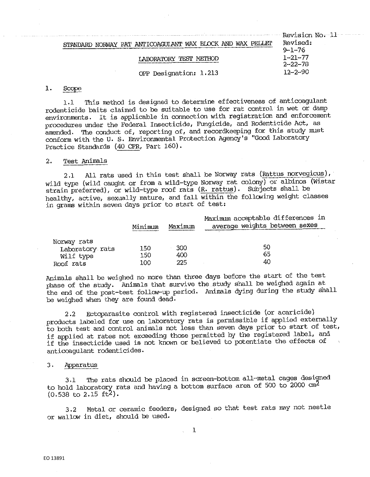| $\blacksquare$ Revision No. $11$ $\blacksquare$ |
|-------------------------------------------------|
| Revised:                                        |
| $9 - 1 - 76$                                    |
| $1 - 21 - 77$                                   |
| $2 - 22 - 78$                                   |
| $12 - 2 - 90$                                   |
|                                                 |

#### $1.$ Scope

1,l 'rhis method is designed to determine effectiveness of anticoagulant rodenticide baits claimed to be suitable to use for rat control in wet or damp environments. It is applicable in connection with registration and enforcement procedures under the Federal Insecticide, Fungicide, and Rodenticide Act, as amended. The conduct of, reporting of, and recordkeeping for this study must conform with the u. S, Environmental Protection Agency's "Good Laboratory Practice Standards (40 CFR, Part 160).

## 2. Test Animals

2.1 All rats used in this test shall be Norway rats (Rattus norvegicus), wi.ld type (wild caught or from a wild-type Norway rat colony) or albinos (Wistar strain preferred), or wild-type roof rats (R. rattus). Subjects shall be healthy, active, sexually mature, and fall within the follcwing weight classes in grams within seven days prior to start of test:

|                 | Minimum | Maximum | Maximum acceptable differences in<br>average weights between sexes |
|-----------------|---------|---------|--------------------------------------------------------------------|
| Norway rats     |         |         |                                                                    |
| Laboratory rats | 150     | 300     | 50                                                                 |
| Wilf type       | 150     | 400     | 65                                                                 |
| Roof rats       | 100     | 225     | 40                                                                 |

Animals shall be weighed no more than three days before the start of the test <sup>p</sup>hase of the study. Animals that survive the study shall be weighed again at the end of the post-test follow-up period. Animals dying during the study shall be weighed when they are found dead.

2.2 Ectoparasite control with registered insecticide (or acaricide) products labeled for use on laboratory rats is permissible if applied externally to both test and control animals not less than seven days prior to start of test, if applied at rates not exceeding those permitted by the registered label, and if the insecticide used is not known or believed to potentiate the effects of anticoagulant rodenticides.

## 3. Apparatus

3.1 The rats should be placed in screen-bottom all-metal cages designed to hold laboratory rats and having a bottom surface area of 500 to 2000  $cm^2$  $(0.538 \text{ to } 2.15 \text{ ft}^2).$ 

3,2 Metal or ceramic feeders, designed so that test rats may not nestle or wallow in diet, should be used,

1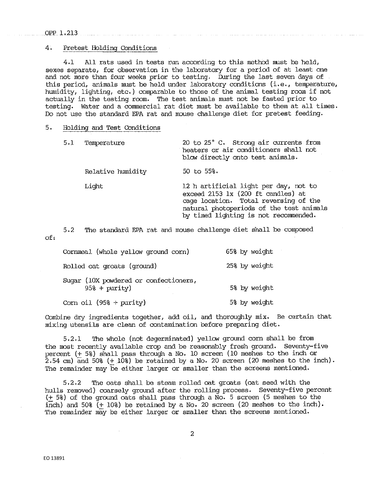#### OPPl,213

## 4. Pretest Holding Conditions

4,1 All rats used in tests run according to this method must be held, sexes separate, for observation in the laboratory for a period of at least one and not more than four weeks prior to testing. During the last seven days of this period, animals must be held under laboratory conditions (i.e., temperature, humidity, lighting, etc.) comparable to those of the animal testing room if not actually in the testing room, The test animals must not be fasted prior to testing. Water and a commercial rat diet must be available to them at all times, Do not use the standard EPA rat and mouse challenge diet for pretest feeding.

# 5. Holding and Test Conditions

| 5.1 | Temperature       | 20 to 25° C. Strong air currents from<br>heaters or air conditioners shall not<br>blow directly onto test animals.                                                                                        |
|-----|-------------------|-----------------------------------------------------------------------------------------------------------------------------------------------------------------------------------------------------------|
|     | Relative humidity | $50$ to $55\%$ .                                                                                                                                                                                          |
|     | Light             | 12 h artificial light per day, not to<br>exceed 2153 1x (200 ft candles) at<br>cage location. Total reversing of the<br>natural photoperiods of the test animals<br>by timed lighting is not recommended. |

5,2 The standard EPA rat and mouse challenge diet shall be composed of,

Cornmeal (whole yellow ground corn) 65% by weight Rolled oat groats {ground) 25% by weight Sugar (10X powdered or confectioners, 95% + purity) 5% by weight Corn oil  $(95\% +$  purity) 5% by weight

Combine dry ingredients together, add oil, and thoroughly mix. Be certain that mixing utensils are clean of contamination before preparing diet,

5,2,1 'l'he whole (not degerminated) yellow ground corn shall be from the most recently available crop and be reasonably fresh ground, Seventy-five percent (+ 5%) shall pass through a No, 10 screen (10 meshes to the inch or  $2.54$  cm) and  $50\%$  (+  $10\%$ ) be retained by a No. 20 screen (20 meshes to the inch). The remainder may be either larger or smaller than the screens mentioned.

5.2.2 The oats shall be steam rolled oat groats (oat seed with the hulls removed) ooarsely ground after the rolling process, Seventy-five percent  $(+ 58)$  of the ground oats shall pass through a No. 5 screen (5 meshes to the inch).<br>inch) and 508 (+ 108) be retained by a No. 20 screen (20 meshes to the inch). The remainder may be either larger or smaller than the screens mentioned.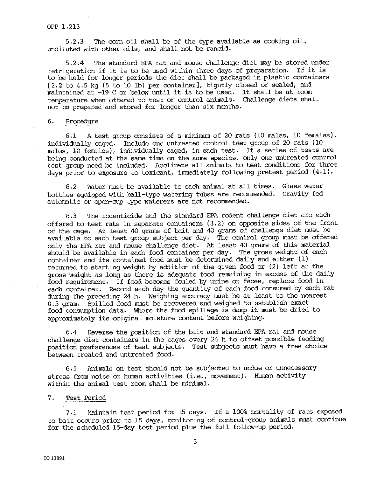5.2.3 The corn oil shall be of the type available as cooking oil, undiluted with other oils, and shall not be rancid,

5.2.4 The standard EPA rat and mouse challenge diet may be stored under refrigeration if it is to be used within three days of preparation. If it is to be held for longer periods the diet shall be packaged in plastic containers  $[2.2$  to 4.5 kg (5 to 10 lb) per container], tightly closed or sealed, and maintained at -19 C or below until it is to be used. It shall be at room temperature when offered to test or control animals, Challenge diets shall not be prepared and stored for longer than six months,

# 6. Procedure

6.1 A test group consists of a minimum of 20 rats (10 males, 10 females), individually caged. Include one untreated control test group of 20 rats (10 males, 10 females), individually caged, in each test, If a series of tests are being conducted at the same time on the same species, only one untreated control test group need be included, Acclimate all animals to test conditions for three days prior to exposure to toxicant, immediately following pretest period  $(4.1)$ .

6,2 Water must be available to each animal at all times. Glass water bottles equipped with ball-type watering tubes are recommended, Gravity fed automatic or open-cup type waterers are not recommended.

6,3 The rodenticide and the standard EPA rodent challenge diet are each offered to test rats in separate containers (3,2) on opposite sides of the front of the cage. At least 40 grams of bait and 40 grams of challenge diet must be available to each test group subject per day. The control group must be offered only the EPA rat and mouse challenge diet, At least 40 grams of this material should be available in each food container per day. The gross weight of each container and its contained food must be determined daily and either (1) returned to starting weight by addition of the given food or (2) left at the gross weight as long as there is adequate food remaining in excess of the daily food requirement. If food becomes fouled by urine or feces, replace food in each container. Record each day the quantity of each food consumed by each rat during the preceding 24 h. Weighing accuracy must be at least to the nearest 0. 5 gram. Spilled food must be recovered and weighed to establish exact food consurnption data, Where the food spillage is damp it must be dried to approximately its original moisture content before weighing.

6,4 Reverse the position of the bait and standard EPA rat and mouse challenge diet containers in the cages every 24 h to offset possible feeding position preferences of test subjects. Test subjects must have a free choice between treated and untreated food,

6,5 Animals on test should not be subjected to undue or unnecessary stress from noise or human activities (i.e., movement). Human activity within the animal test room shall be minimal,

## 7. Test Period

7 ,1 Maintain test period for 15 days. If a 100% mortality of rats exposed to bait occurs prior to 15 days, monitoring of control-group animals must continue for the scheduled 15-day test period plus the full follow-up period,